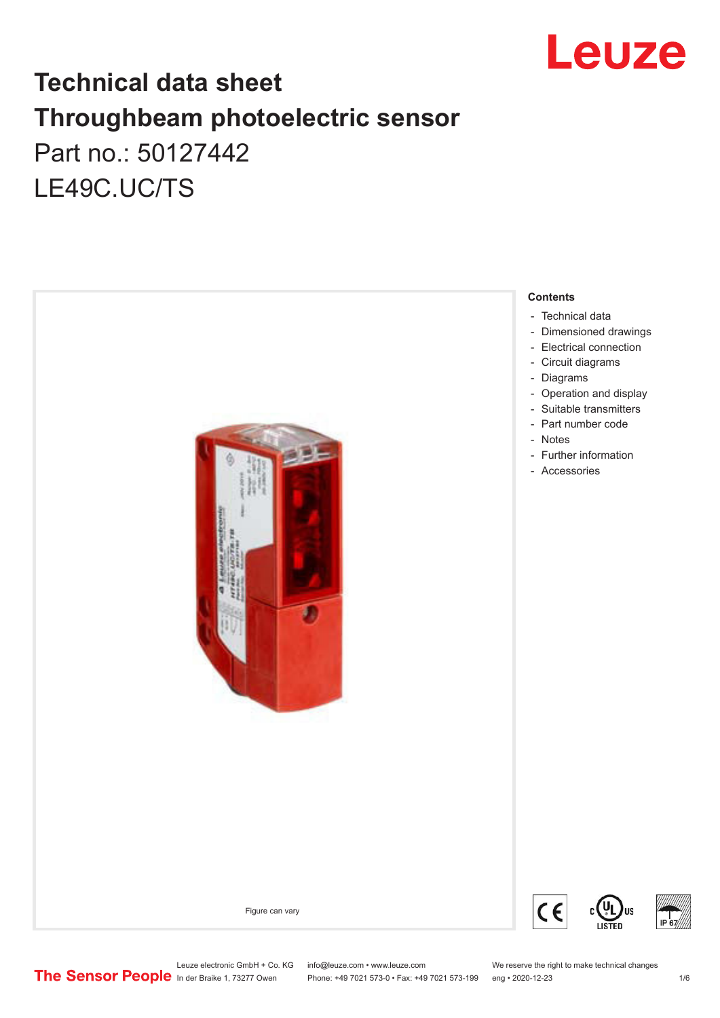

## **Technical data sheet Throughbeam photoelectric sensor**  Part no.: 50127442 LE49C.UC/TS



Leuze electronic GmbH + Co. KG info@leuze.com • www.leuze.com We reserve the right to make technical changes<br>
The Sensor People in der Braike 1, 73277 Owen Phone: +49 7021 573-0 • Fax: +49 7021 573-199 eng • 2020-12-23

Phone: +49 7021 573-0 • Fax: +49 7021 573-199 eng • 2020-12-23 1 /6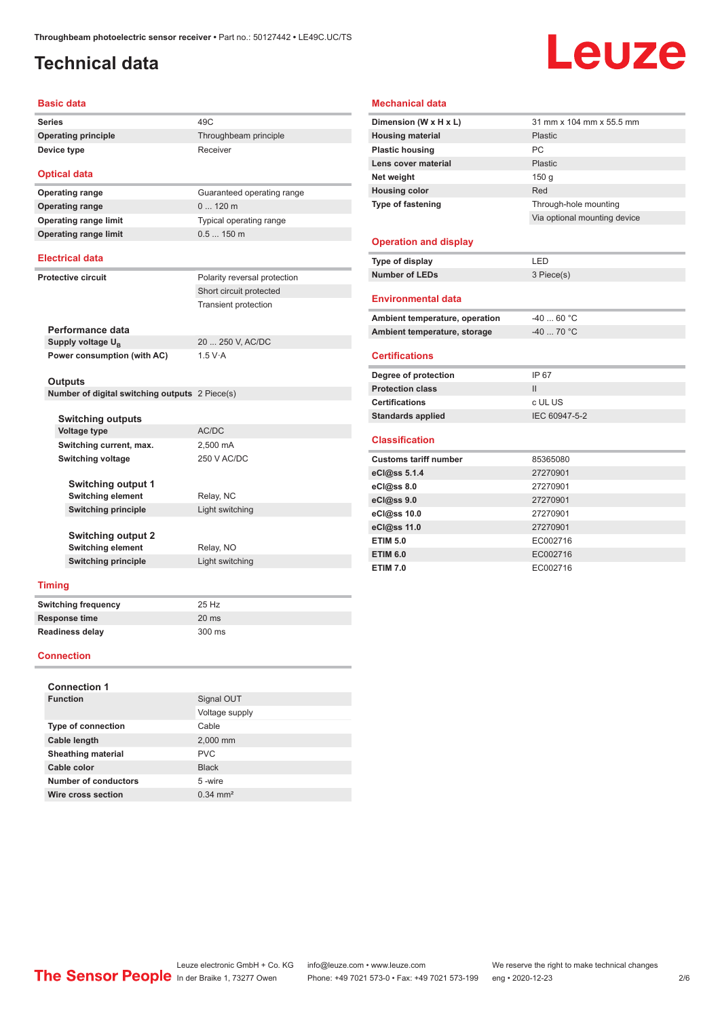### <span id="page-1-0"></span>**Technical data**

# Leuze

#### **Basic data**

| <b>Series</b>       | 49C                   |
|---------------------|-----------------------|
| Operating principle | Throughbeam principle |
| Device type         | Receiver              |

**Optical data Operating range** 0 ... 120 m

**Operating range** Guaranteed operating range **Operating range limit** Typical operating range **Operating range limit** 0.5 ... 150 m

> Short circuit protected Transient protection

#### **Electrical data**

**Protective circuit** Polarity reversal protection

**Performance data** Supply voltage  $U_{\text{B}}$ **Power consumption (with AC)** 1.5 V·A

20 ... 250 V, AC/DC

#### **Outputs**

**Number of digital switching outputs** 2 Piece(s)

| <b>Switching outputs</b>   |                 |
|----------------------------|-----------------|
| Voltage type               | AC/DC           |
| Switching current, max.    | 2,500 mA        |
| Switching voltage          | 250 V AC/DC     |
|                            |                 |
| <b>Switching output 1</b>  |                 |
| <b>Switching element</b>   | Relay, NC       |
| <b>Switching principle</b> | Light switching |
|                            |                 |
| <b>Switching output 2</b>  |                 |
| <b>Switching element</b>   | Relay, NO       |
| <b>Switching principle</b> | Light switching |
|                            |                 |

#### **Timing**

| <b>Switching frequency</b> | 25 Hz           |
|----------------------------|-----------------|
| Response time              | $20 \text{ ms}$ |
| <b>Readiness delay</b>     | 300 ms          |

#### **Connection**

| <b>Connection 1</b>       |                       |
|---------------------------|-----------------------|
| <b>Function</b>           | Signal OUT            |
|                           | Voltage supply        |
| <b>Type of connection</b> | Cable                 |
| Cable length              | 2,000 mm              |
| <b>Sheathing material</b> | <b>PVC</b>            |
| Cable color               | <b>Black</b>          |
| Number of conductors      | 5-wire                |
| Wire cross section        | $0.34 \, \text{mm}^2$ |

#### **Mechanical data**

| Dimension (W x H x L)          | 31 mm x 104 mm x 55.5 mm     |
|--------------------------------|------------------------------|
| <b>Housing material</b>        | <b>Plastic</b>               |
| <b>Plastic housing</b>         | PC                           |
| Lens cover material            | <b>Plastic</b>               |
| Net weight                     | 150 <sub>g</sub>             |
| <b>Housing color</b>           | Red                          |
| Type of fastening              | Through-hole mounting        |
|                                | Via optional mounting device |
|                                |                              |
| <b>Operation and display</b>   |                              |
| Type of display                | LED                          |
| <b>Number of LEDs</b>          | 3 Piece(s)                   |
|                                |                              |
| <b>Environmental data</b>      |                              |
| Ambient temperature, operation | $-4060 °C$                   |
| Ambient temperature, storage   | $-40$ 70 °C                  |
|                                |                              |
| <b>Certifications</b>          |                              |
| Degree of protection           | IP 67                        |
| <b>Protection class</b>        | $\mathsf{II}$                |
| <b>Certifications</b>          | c UL US                      |
| <b>Standards applied</b>       | IEC 60947-5-2                |
|                                |                              |
| <b>Classification</b>          |                              |
| <b>Customs tariff number</b>   | 85365080                     |
| eCl@ss 5.1.4                   | 27270901                     |
| eCl@ss 8.0                     | 27270901                     |
| eCl@ss 9.0                     | 27270901                     |
| eCl@ss 10.0                    | 27270901                     |
| eCl@ss 11.0                    | 27270901                     |
| <b>ETIM 5.0</b>                | EC002716                     |
| <b>ETIM 6.0</b>                | EC002716                     |
| <b>ETIM 7.0</b>                | EC002716                     |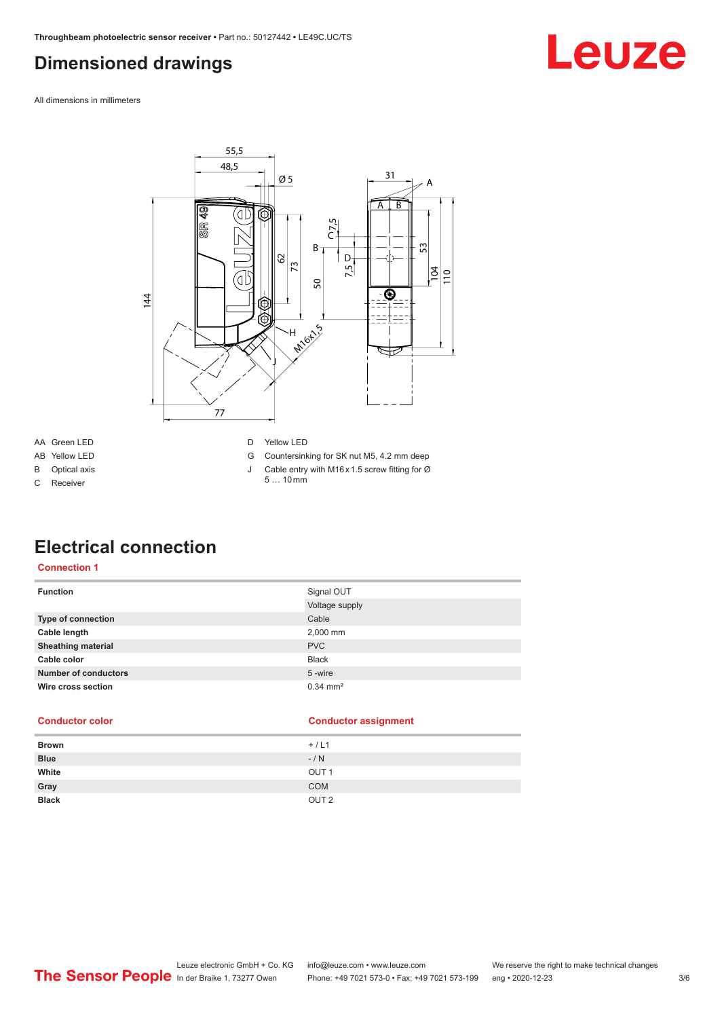### <span id="page-2-0"></span>**Dimensioned drawings**

Leuze

All dimensions in millimeters



- AA Green LED
- AB Yellow LED B Optical axis

C Receiver

#### D Yellow LED

- G Countersinking for SK nut M5, 4.2 mm deep
- J Cable entry with M16 x 1.5 screw fitting for Ø
- 5 … 10 mm

### **Electrical connection**

#### **Connection 1**

| <b>Function</b>             | Signal OUT<br>Voltage supply |
|-----------------------------|------------------------------|
| Type of connection          | Cable                        |
| Cable length                | 2,000 mm                     |
| <b>Sheathing material</b>   | <b>PVC</b>                   |
| Cable color                 | <b>Black</b>                 |
| <b>Number of conductors</b> | 5-wire                       |
| Wire cross section          | $0.34 \, \text{mm}^2$        |

| <b>Conductor color</b> | <b>Conductor assignment</b> |
|------------------------|-----------------------------|
| <b>Brown</b>           | $+/L1$                      |
| <b>Blue</b>            | $-/ N$                      |
| White                  | OUT <sub>1</sub>            |
| Gray                   | <b>COM</b>                  |
| <b>Black</b>           | OUT <sub>2</sub>            |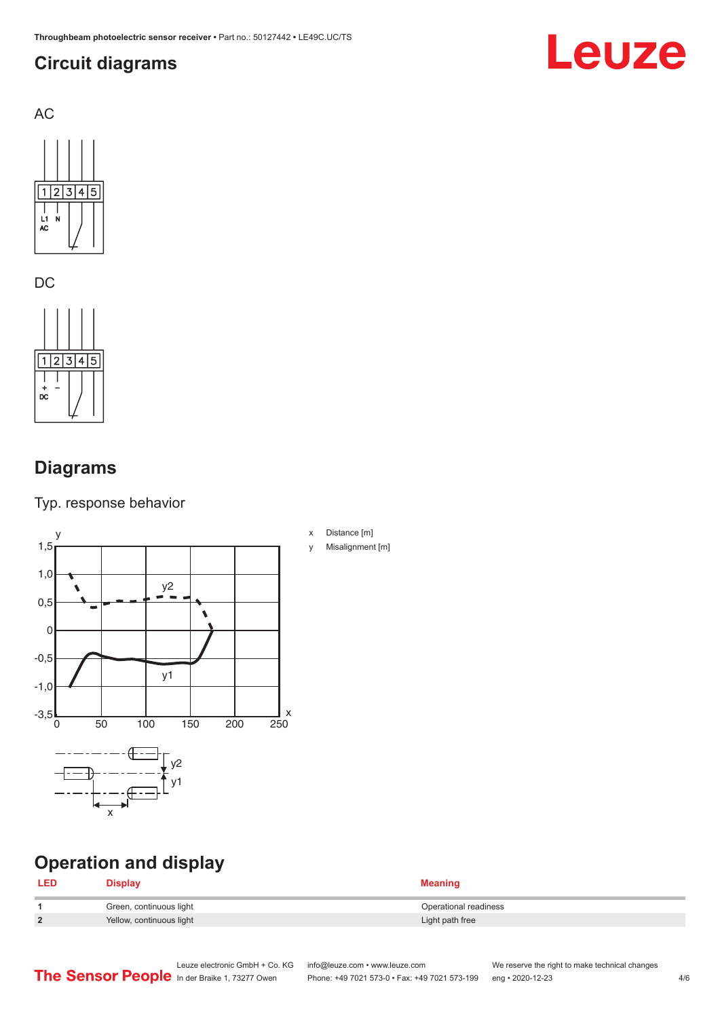### <span id="page-3-0"></span>**Circuit diagrams**



AC



DC

 $1|2|3|4|5$ ヿ  $\overline{bc}$ 

### **Diagrams**

Typ. response behavior



### **Operation and display**

#### **LED Display Meaning**

|                | Green, continuous light  | Operational readiness |
|----------------|--------------------------|-----------------------|
| $\overline{2}$ | Yellow, continuous light | Light path free       |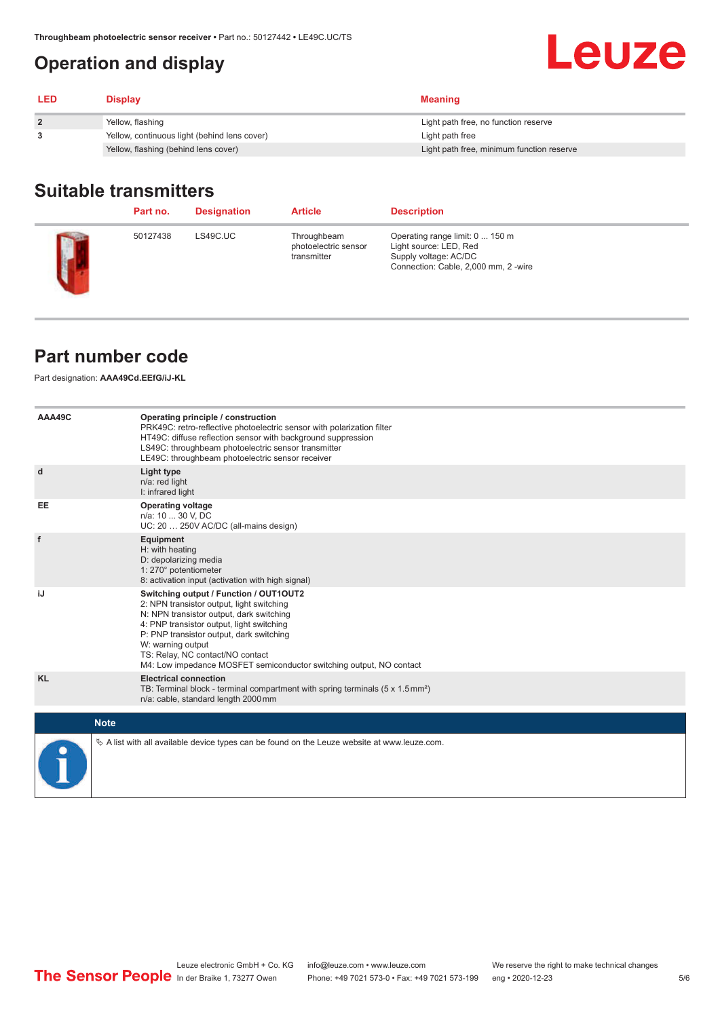### <span id="page-4-0"></span>**Operation and display**

| <b>LED</b> | <b>Display</b>                               | <b>Meaning</b>                            |
|------------|----------------------------------------------|-------------------------------------------|
|            | Yellow, flashing                             | Light path free, no function reserve      |
|            | Yellow, continuous light (behind lens cover) | Light path free                           |
|            | Yellow, flashing (behind lens cover)         | Light path free, minimum function reserve |

#### **Suitable transmitters**

|                  | Part no. | <b>Designation</b> | <b>Article</b>                                     | <b>Description</b>                                                                                                         |
|------------------|----------|--------------------|----------------------------------------------------|----------------------------------------------------------------------------------------------------------------------------|
| <b>The State</b> | 50127438 | LS49C.UC           | Throughbeam<br>photoelectric sensor<br>transmitter | Operating range limit: 0  150 m<br>Light source: LED, Red<br>Supply voltage: AC/DC<br>Connection: Cable, 2,000 mm, 2 -wire |

#### **Part number code**

Part designation: **AAA49Cd.EEfG/iJ-KL**

| AAA49C      | Operating principle / construction<br>PRK49C: retro-reflective photoelectric sensor with polarization filter<br>HT49C: diffuse reflection sensor with background suppression<br>LS49C: throughbeam photoelectric sensor transmitter<br>LE49C: throughbeam photoelectric sensor receiver                                                                  |
|-------------|----------------------------------------------------------------------------------------------------------------------------------------------------------------------------------------------------------------------------------------------------------------------------------------------------------------------------------------------------------|
| d           | Light type<br>n/a: red light<br>I: infrared light                                                                                                                                                                                                                                                                                                        |
| <b>EE</b>   | <b>Operating voltage</b><br>n/a: 10  30 V, DC<br>UC: 20  250V AC/DC (all-mains design)                                                                                                                                                                                                                                                                   |
| f           | Equipment<br>H: with heating<br>D: depolarizing media<br>1: 270° potentiometer<br>8: activation input (activation with high signal)                                                                                                                                                                                                                      |
| iJ          | Switching output / Function / OUT1OUT2<br>2: NPN transistor output, light switching<br>N: NPN transistor output, dark switching<br>4: PNP transistor output, light switching<br>P: PNP transistor output, dark switching<br>W: warning output<br>TS: Relay, NC contact/NO contact<br>M4: Low impedance MOSFET semiconductor switching output, NO contact |
| <b>KL</b>   | <b>Electrical connection</b><br>TB: Terminal block - terminal compartment with spring terminals $(5 \times 1.5 \text{ mm}^2)$<br>n/a: cable, standard length 2000 mm                                                                                                                                                                                     |
| <b>Note</b> |                                                                                                                                                                                                                                                                                                                                                          |
|             | $\&$ A list with all available device types can be found on the Leuze website at www.leuze.com.                                                                                                                                                                                                                                                          |

**Leuze**